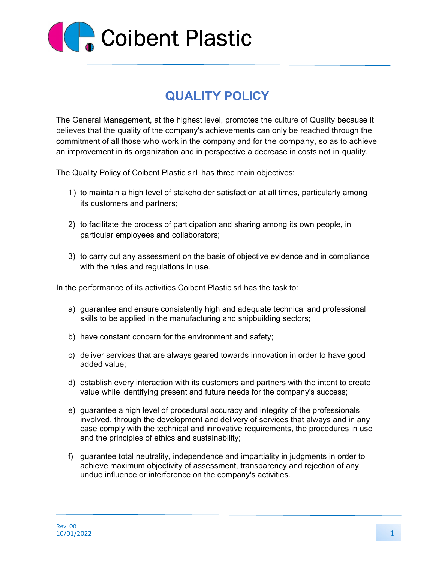

## **QUALITY POLICY**

The General Management, at the highest level, promotes the culture of Quality because it believes that the quality of the company's achievements can only be reached through the commitment of all those who work in the company and for the company, so as to achieve an improvement in its organization and in perspective a decrease in costs not in quality.

The Quality Policy of Coibent Plastic srl has three main objectives:

- 1) to maintain a high level of stakeholder satisfaction at all times, particularly among its customers and partners;
- 2) to facilitate the process of participation and sharing among its own people, in particular employees and collaborators;
- 3) to carry out any assessment on the basis of objective evidence and in compliance with the rules and regulations in use.

In the performance of its activities Coibent Plastic srl has the task to:

- a) guarantee and ensure consistently high and adequate technical and professional skills to be applied in the manufacturing and shipbuilding sectors;
- b) have constant concern for the environment and safety;
- c) deliver services that are always geared towards innovation in order to have good added value;
- d) establish every interaction with its customers and partners with the intent to create value while identifying present and future needs for the company's success;
- e) guarantee a high level of procedural accuracy and integrity of the professionals involved, through the development and delivery of services that always and in any case comply with the technical and innovative requirements, the procedures in use and the principles of ethics and sustainability;
- f) guarantee total neutrality, independence and impartiality in judgments in order to achieve maximum objectivity of assessment, transparency and rejection of any undue influence or interference on the company's activities.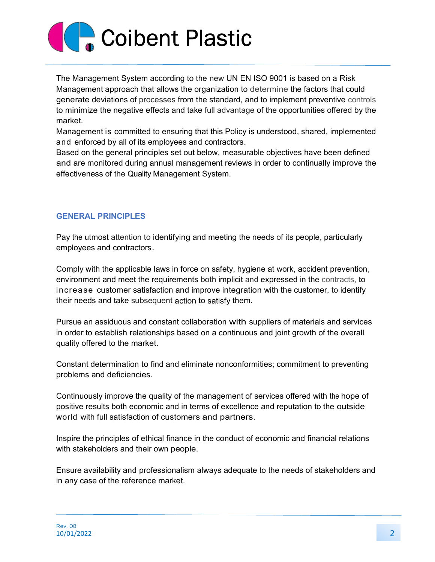## **Coibent Plastic**

The Management System according to the new UN EN ISO 9001 is based on a Risk Management approach that allows the organization to determine the factors that could generate deviations of processes from the standard, and to implement preventive controls to minimize the negative effects and take full advantage of the opportunities offered by the market.

Management is committed to ensuring that this Policy is understood, shared, implemented and enforced by all of its employees and contractors.

Based on the general principles set out below, measurable objectives have been defined and are monitored during annual management reviews in order to continually improve the effectiveness of the Quality Management System.

## GENERAL PRINCIPLES

Pay the utmost attention to identifying and meeting the needs of its people, particularly employees and contractors.

Comply with the applicable laws in force on safety, hygiene at work, accident prevention, environment and meet the requirements both implicit and expressed in the contracts, to increase customer satisfaction and improve integration with the customer, to identify their needs and take subsequent action to satisfy them.

Pursue an assiduous and constant collaboration with suppliers of materials and services in order to establish relationships based on a continuous and joint growth of the overall quality offered to the market.

Constant determination to find and eliminate nonconformities; commitment to preventing problems and deficiencies.

Continuously improve the quality of the management of services offered with the hope of positive results both economic and in terms of excellence and reputation to the outside world with full satisfaction of customers and partners.

Inspire the principles of ethical finance in the conduct of economic and financial relations with stakeholders and their own people.

Ensure availability and professionalism always adequate to the needs of stakeholders and in any case of the reference market.